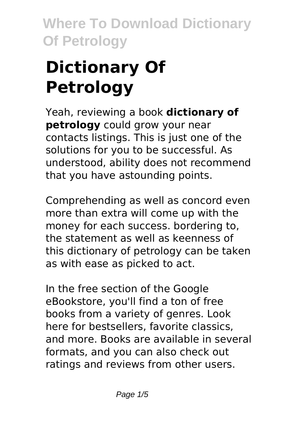# **Dictionary Of Petrology**

Yeah, reviewing a book **dictionary of petrology** could grow your near contacts listings. This is just one of the solutions for you to be successful. As understood, ability does not recommend that you have astounding points.

Comprehending as well as concord even more than extra will come up with the money for each success. bordering to, the statement as well as keenness of this dictionary of petrology can be taken as with ease as picked to act.

In the free section of the Google eBookstore, you'll find a ton of free books from a variety of genres. Look here for bestsellers, favorite classics, and more. Books are available in several formats, and you can also check out ratings and reviews from other users.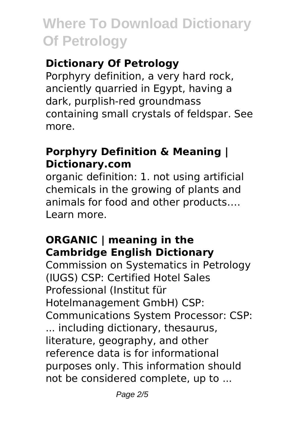## **Dictionary Of Petrology**

Porphyry definition, a very hard rock, anciently quarried in Egypt, having a dark, purplish-red groundmass containing small crystals of feldspar. See more.

#### **Porphyry Definition & Meaning | Dictionary.com**

organic definition: 1. not using artificial chemicals in the growing of plants and animals for food and other products…. Learn more.

### **ORGANIC | meaning in the Cambridge English Dictionary**

Commission on Systematics in Petrology (IUGS) CSP: Certified Hotel Sales Professional (Institut für Hotelmanagement GmbH) CSP: Communications System Processor: CSP: ... including dictionary, thesaurus, literature, geography, and other reference data is for informational purposes only. This information should not be considered complete, up to ...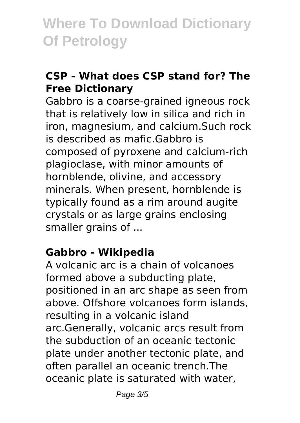### **CSP - What does CSP stand for? The Free Dictionary**

Gabbro is a coarse-grained igneous rock that is relatively low in silica and rich in iron, magnesium, and calcium.Such rock is described as mafic.Gabbro is composed of pyroxene and calcium-rich plagioclase, with minor amounts of hornblende, olivine, and accessory minerals. When present, hornblende is typically found as a rim around augite crystals or as large grains enclosing smaller grains of ...

### **Gabbro - Wikipedia**

A volcanic arc is a chain of volcanoes formed above a subducting plate, positioned in an arc shape as seen from above. Offshore volcanoes form islands, resulting in a volcanic island arc.Generally, volcanic arcs result from the subduction of an oceanic tectonic plate under another tectonic plate, and often parallel an oceanic trench.The oceanic plate is saturated with water,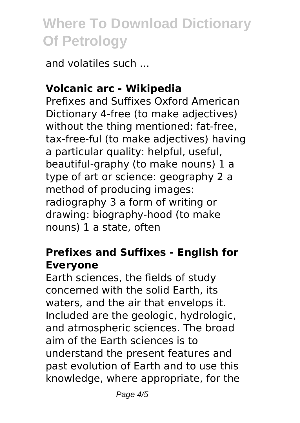and volatiles such ...

### **Volcanic arc - Wikipedia**

Prefixes and Suffixes Oxford American Dictionary 4-free (to make adjectives) without the thing mentioned: fat-free, tax-free-ful (to make adjectives) having a particular quality: helpful, useful, beautiful-graphy (to make nouns) 1 a type of art or science: geography 2 a method of producing images: radiography 3 a form of writing or drawing: biography-hood (to make nouns) 1 a state, often

#### **Prefixes and Suffixes - English for Everyone**

Earth sciences, the fields of study concerned with the solid Earth, its waters, and the air that envelops it. Included are the geologic, hydrologic, and atmospheric sciences. The broad aim of the Earth sciences is to understand the present features and past evolution of Earth and to use this knowledge, where appropriate, for the